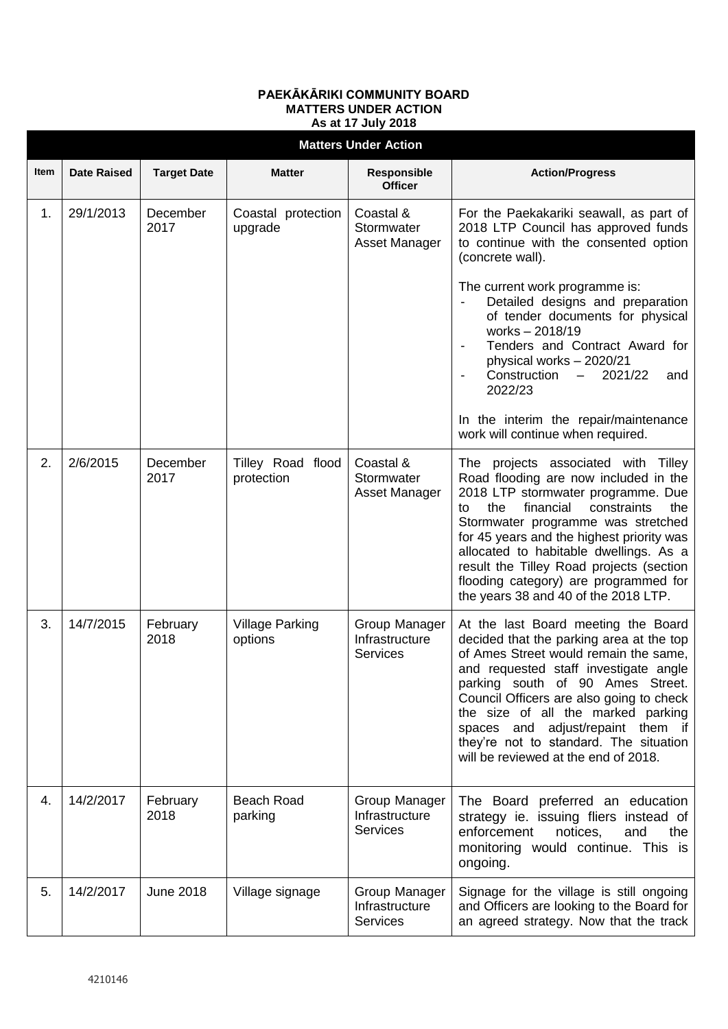## **PAEKĀKĀRIKI COMMUNITY BOARD MATTERS UNDER ACTION As at 17 July 2018**

| <b>Matters Under Action</b> |                    |                    |                                   |                                                    |                                                                                                                                                                                                                                                                                                                                                                                                                              |  |  |  |  |
|-----------------------------|--------------------|--------------------|-----------------------------------|----------------------------------------------------|------------------------------------------------------------------------------------------------------------------------------------------------------------------------------------------------------------------------------------------------------------------------------------------------------------------------------------------------------------------------------------------------------------------------------|--|--|--|--|
| Item                        | <b>Date Raised</b> | <b>Target Date</b> | <b>Matter</b>                     | <b>Responsible</b><br><b>Officer</b>               | <b>Action/Progress</b>                                                                                                                                                                                                                                                                                                                                                                                                       |  |  |  |  |
| 1.                          | 29/1/2013          | December<br>2017   | Coastal protection<br>upgrade     | Coastal &<br>Stormwater<br>Asset Manager           | For the Paekakariki seawall, as part of<br>2018 LTP Council has approved funds<br>to continue with the consented option<br>(concrete wall).                                                                                                                                                                                                                                                                                  |  |  |  |  |
|                             |                    |                    |                                   |                                                    | The current work programme is:<br>Detailed designs and preparation<br>of tender documents for physical<br>works-2018/19<br>Tenders and Contract Award for<br>physical works - 2020/21<br>Construction<br>2021/22<br>$-$<br>and<br>2022/23                                                                                                                                                                                    |  |  |  |  |
|                             |                    |                    |                                   |                                                    | In the interim the repair/maintenance<br>work will continue when required.                                                                                                                                                                                                                                                                                                                                                   |  |  |  |  |
| 2.                          | 2/6/2015           | December<br>2017   | Tilley Road flood<br>protection   | Coastal &<br>Stormwater<br>Asset Manager           | The projects associated with Tilley<br>Road flooding are now included in the<br>2018 LTP stormwater programme. Due<br>financial<br>the<br>constraints<br>the<br>to<br>Stormwater programme was stretched<br>for 45 years and the highest priority was<br>allocated to habitable dwellings. As a<br>result the Tilley Road projects (section<br>flooding category) are programmed for<br>the years 38 and 40 of the 2018 LTP. |  |  |  |  |
| 3.                          | 14/7/2015          | February<br>2018   | <b>Village Parking</b><br>options | Group Manager<br>Infrastructure<br><b>Services</b> | At the last Board meeting the Board<br>decided that the parking area at the top<br>of Ames Street would remain the same,<br>and requested staff investigate angle<br>parking south of 90 Ames Street.<br>Council Officers are also going to check<br>the size of all the marked parking<br>spaces and adjust/repaint them if<br>they're not to standard. The situation<br>will be reviewed at the end of 2018.               |  |  |  |  |
| 4.                          | 14/2/2017          | February<br>2018   | <b>Beach Road</b><br>parking      | Group Manager<br>Infrastructure<br><b>Services</b> | The Board preferred an education<br>strategy ie. issuing fliers instead of<br>enforcement<br>notices,<br>and<br>the<br>monitoring would continue. This is<br>ongoing.                                                                                                                                                                                                                                                        |  |  |  |  |
| 5.                          | 14/2/2017          | <b>June 2018</b>   | Village signage                   | Group Manager<br>Infrastructure<br><b>Services</b> | Signage for the village is still ongoing<br>and Officers are looking to the Board for<br>an agreed strategy. Now that the track                                                                                                                                                                                                                                                                                              |  |  |  |  |